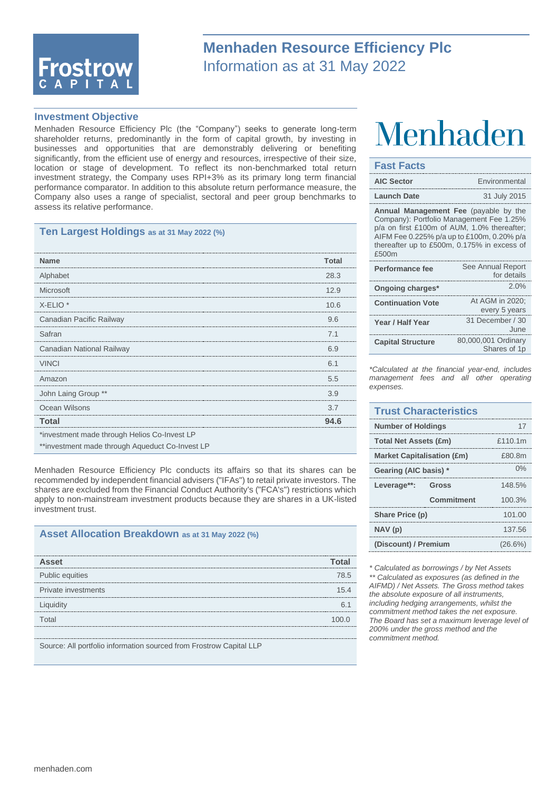

## **Menhaden Resource Efficiency Plc** Information as at 31 May 2022

#### **Investment Objective**

Menhaden Resource Efficiency Plc (the "Company") seeks to generate long-term shareholder returns, predominantly in the form of capital growth, by investing in businesses and opportunities that are demonstrably delivering or benefiting significantly, from the efficient use of energy and resources, irrespective of their size, location or stage of development. To reflect its non-benchmarked total return investment strategy, the Company uses RPI+3% as its primary long term financial performance comparator. In addition to this absolute return performance measure, the Company also uses a range of specialist, sectoral and peer group benchmarks to assess its relative performance.

#### **Ten Largest Holdings as at 31 May 2022 (%)**

| <b>Name</b>                                     | Total |
|-------------------------------------------------|-------|
| Alphabet                                        | 28.3  |
| Microsoft                                       | 12.9  |
| $X$ -ELIO $*$                                   | 10.6  |
| Canadian Pacific Railway                        | 9.6   |
| Safran                                          | 7.1   |
| Canadian National Railway                       | 69    |
| <b>VINCI</b>                                    | 6.1   |
| Amazon                                          | 5.5   |
| John Laing Group **                             | 3.9   |
| Ocean Wilsons                                   | 3.7   |
| Total                                           | 94.6  |
| *investment made through Helios Co-Invest LP    |       |
| **investment made through Aqueduct Co-Invest LP |       |

Menhaden Resource Efficiency Plc conducts its affairs so that its shares can be recommended by independent financial advisers ("IFAs") to retail private investors. The shares are excluded from the Financial Conduct Authority's ("FCA's") restrictions which apply to non-mainstream investment products because they are shares in a UK-listed investment trust.

#### **Asset Allocation Breakdown as at 31 May 2022 (%)**

| Asset                                                               |      |
|---------------------------------------------------------------------|------|
| Public equities                                                     | 78.5 |
| Private investments                                                 | 15 4 |
| Liquidity                                                           |      |
| Total                                                               |      |
|                                                                     |      |
| Source: All portfolio information sourced from Frostrow Capital LLP |      |

## Menhaden

#### **Fast Facts**

| <b>AIC Sector</b>                                                                                                                                                                                                                             | Environmental                       |  |
|-----------------------------------------------------------------------------------------------------------------------------------------------------------------------------------------------------------------------------------------------|-------------------------------------|--|
| <b>Launch Date</b>                                                                                                                                                                                                                            | 31 July 2015                        |  |
| <b>Annual Management Fee</b> (payable by the<br>Company): Portfolio Management Fee 1.25%<br>p/a on first £100m of AUM, 1.0% thereafter;<br>AIFM Fee 0.225% p/a up to £100m, 0.20% p/a<br>thereafter up to £500m, 0.175% in excess of<br>£500m |                                     |  |
| Performance fee                                                                                                                                                                                                                               | See Annual Report<br>for details    |  |
| Ongoing charges*                                                                                                                                                                                                                              | 2.0%                                |  |
| <b>Continuation Vote</b>                                                                                                                                                                                                                      | At AGM in 2020:<br>every 5 years    |  |
| Year / Half Year                                                                                                                                                                                                                              | 31 December / 30<br>June            |  |
| <b>Capital Structure</b>                                                                                                                                                                                                                      | 80,000,001 Ordinary<br>Shares of 1p |  |

*\*Calculated at the financial year-end, includes management fees and all other operating expenses.*

#### **Trust Characteristics Number of Holdings** 17 **Total Net Assets (£m)** £110.1m **Market Capitalisation (£m)** £80.8m **Gearing (AIC basis) \*** 0% **Leverage\*\*: Gross** 148.5% **Commitment** 100.3% **Share Price (p)** 101.00 **NAV (p)** 137.56 **(Discount) / Premium** (26.6%)

*\* Calculated as borrowings / by Net Assets \*\* Calculated as exposures (as defined in the AIFMD) / Net Assets. The Gross method takes the absolute exposure of all instruments, including hedging arrangements, whilst the commitment method takes the net exposure. The Board has set a maximum leverage level of 200% under the gross method and the commitment method.*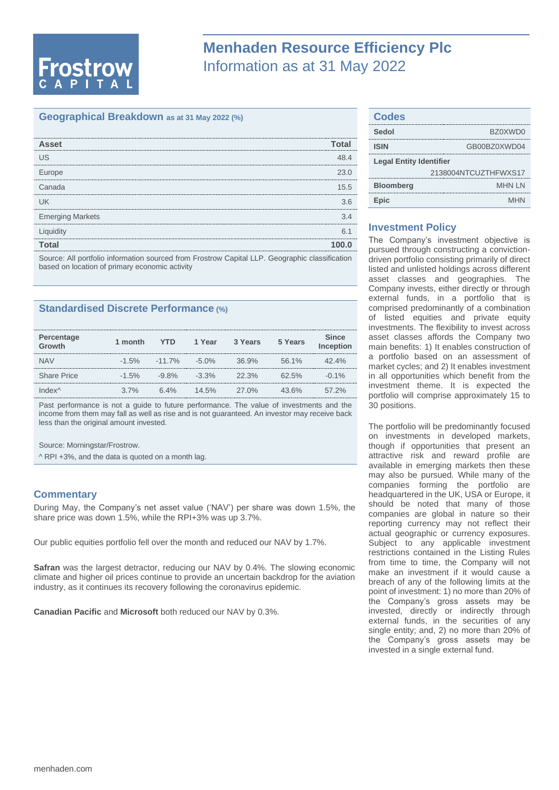# **Frostrow**

## **Menhaden Resource Efficiency Plc** Information as at 31 May 2022

#### **Geographical Breakdown as at 31 May 2022 (%)**

| <b>Asset</b>                                                                                   | Total |
|------------------------------------------------------------------------------------------------|-------|
| US                                                                                             | 48 4  |
| Europe                                                                                         | 23.0  |
| Canada                                                                                         | 15.5  |
| lΙK                                                                                            | 36    |
| <b>Emerging Markets</b>                                                                        | 34    |
| Liquidity                                                                                      | հ 1   |
| Total                                                                                          |       |
| Source: All portfolio information sourced from Frostrow Capital LLP. Geographic classification |       |

based on location of primary economic activity

#### **Standardised Discrete Performance (%)**

| Percentage<br>Growth | 1 month  | <b>YTD</b> | 1 Year   | 3 Years  | 5 Years  | <b>Since</b><br>Inception |
|----------------------|----------|------------|----------|----------|----------|---------------------------|
| <b>NAV</b>           | $-1.5\%$ | $-11.7\%$  | $-5.0\%$ | 36.9%    | 56.1%    | $42.4\%$                  |
| <b>Share Price</b>   | $-1.5\%$ | $-9.8\%$   | $-3.3\%$ | 22.3%    | 62.5%    | $-0.1\%$                  |
| Index^               | $3.7\%$  | 6.4%       | $14.5\%$ | $27.0\%$ | $43.6\%$ | 57.2%                     |

Past performance is not a guide to future performance. The value of investments and the income from them may fall as well as rise and is not guaranteed. An investor may receive back less than the original amount invested.

Source: Morningstar/Frostrow.

^ RPI +3%, and the data is quoted on a month lag.

#### **Commentary**

During May, the Company's net asset value ('NAV') per share was down 1.5%, the share price was down 1.5%, while the RPI+3% was up 3.7%.

Our public equities portfolio fell over the month and reduced our NAV by 1.7%.

**Safran** was the largest detractor, reducing our NAV by 0.4%. The slowing economic climate and higher oil prices continue to provide an uncertain backdrop for the aviation industry, as it continues its recovery following the coronavirus epidemic.

**Canadian Pacific** and **Microsoft** both reduced our NAV by 0.3%.

| <b>Codes</b>                   |                      |  |
|--------------------------------|----------------------|--|
| Sedol                          | BZ0XWD0              |  |
| <b>ISIN</b>                    | GB00BZ0XWD04         |  |
| <b>Legal Entity Identifier</b> |                      |  |
|                                | 2138004NTCUZTHFWXS17 |  |
| <b>Bloomberg</b>               | <b>MHN IN</b>        |  |
| Epic                           | <b>MHN</b>           |  |

#### **Investment Policy**

The Company's investment objective is pursued through constructing a convictiondriven portfolio consisting primarily of direct listed and unlisted holdings across different asset classes and geographies. The Company invests, either directly or through external funds, in a portfolio that is comprised predominantly of a combination of listed equities and private equity investments. The flexibility to invest across asset classes affords the Company two main benefits: 1) It enables construction of a portfolio based on an assessment of market cycles; and 2) It enables investment in all opportunities which benefit from the investment theme. It is expected the portfolio will comprise approximately 15 to 30 positions.

The portfolio will be predominantly focused on investments in developed markets, though if opportunities that present an attractive risk and reward profile are available in emerging markets then these may also be pursued. While many of the companies forming the portfolio are headquartered in the UK, USA or Europe, it should be noted that many of those companies are global in nature so their reporting currency may not reflect their actual geographic or currency exposures. Subject to any applicable investment restrictions contained in the Listing Rules from time to time, the Company will not make an investment if it would cause a breach of any of the following limits at the point of investment: 1) no more than 20% of the Company's gross assets may be invested, directly or indirectly through external funds, in the securities of any single entity; and, 2) no more than 20% of the Company's gross assets may be invested in a single external fund.